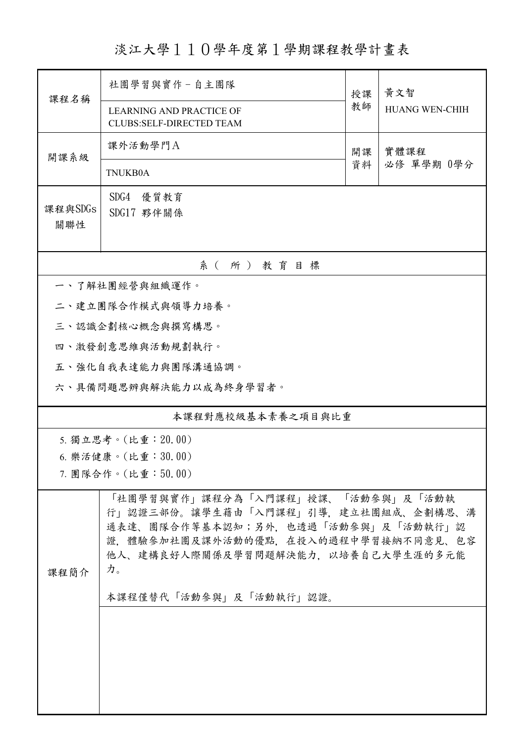淡江大學110學年度第1學期課程教學計畫表

| 課程名稱               | 社團學習與實作-自主團隊                                                                                                                                                                                                                | 授課 | 黃文智                   |  |  |  |
|--------------------|-----------------------------------------------------------------------------------------------------------------------------------------------------------------------------------------------------------------------------|----|-----------------------|--|--|--|
|                    | <b>LEARNING AND PRACTICE OF</b><br><b>CLUBS:SELF-DIRECTED TEAM</b>                                                                                                                                                          | 教師 | <b>HUANG WEN-CHIH</b> |  |  |  |
| 開課系級               | 課外活動學門A                                                                                                                                                                                                                     | 開課 | 實體課程                  |  |  |  |
|                    | <b>TNUKB0A</b>                                                                                                                                                                                                              | 資料 | 必修 單學期 0學分            |  |  |  |
| 課程與SDGs<br>關聯性     | SDG4<br>優質教育<br>SDG17 夥伴關係                                                                                                                                                                                                  |    |                       |  |  |  |
| 系(所)教育目標           |                                                                                                                                                                                                                             |    |                       |  |  |  |
|                    | 一、了解社團經營與組織運作。                                                                                                                                                                                                              |    |                       |  |  |  |
|                    | 二、建立團隊合作模式與領導力培養。                                                                                                                                                                                                           |    |                       |  |  |  |
|                    | 三、認識企劃核心概念與撰寫構思。                                                                                                                                                                                                            |    |                       |  |  |  |
|                    | 四、激發創意思維與活動規劃執行。                                                                                                                                                                                                            |    |                       |  |  |  |
| 五、強化自我表達能力與團隊溝通協調。 |                                                                                                                                                                                                                             |    |                       |  |  |  |
|                    | 六、具備問題思辨與解決能力以成為終身學習者。                                                                                                                                                                                                      |    |                       |  |  |  |
| 本課程對應校級基本素養之項目與比重  |                                                                                                                                                                                                                             |    |                       |  |  |  |
|                    | 5. 獨立思考。(比重: 20.00)                                                                                                                                                                                                         |    |                       |  |  |  |
| 6. 樂活健康。(比重:30.00) |                                                                                                                                                                                                                             |    |                       |  |  |  |
| 7. 團隊合作。(比重:50.00) |                                                                                                                                                                                                                             |    |                       |  |  |  |
| 課程簡介               | 「社團學習與實作」課程分為「入門課程」授課、「活動參與」及「活動執<br>行」認證三部份。讓學生藉由「入門課程」引導,建立社團組成、企劃構思、溝<br>通表達、團隊合作等基本認知;另外,也透過「活動參與」及「活動執行」認<br>證,體驗參加社團及課外活動的優點,在投入的過程中學習接納不同意見、包容<br>他人、建構良好人際關係及學習問題解決能力,以培養自己大學生涯的多元能<br>力。<br>本課程僅替代「活動參與」及「活動執行」認證。 |    |                       |  |  |  |
|                    |                                                                                                                                                                                                                             |    |                       |  |  |  |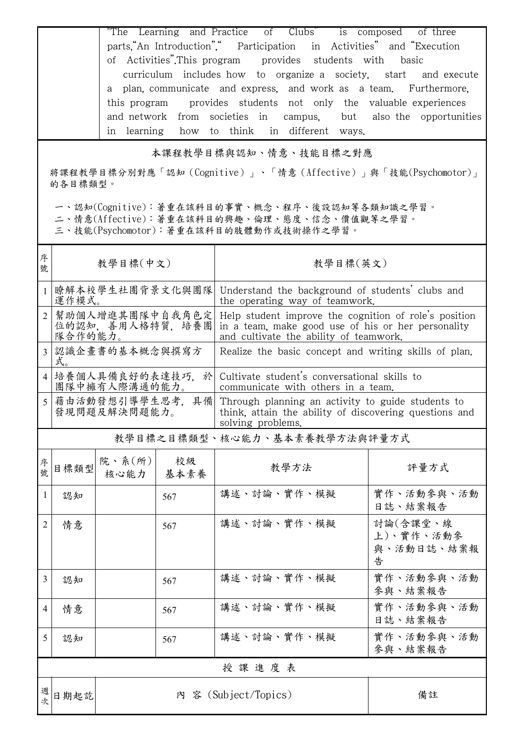"The Learning and Practice of Clubs" is composed of three parts,"An Introduction"," Participation in Activities" and "Execution of Activities".This program provides students with basic curriculum includes how to organize a society, start and execute a plan, communicate and express, and work as a team. Furthermore, this program provides students not only the valuable experiences and network from societies in campus, but also the opportunities in learning how to think in different ways.

## 本課程教學目標與認知、情意、技能目標之對應

將課程教學目標分別對應「認知(Cognitive)」、「情意(Affective)」與「技能(Psychomotor)」 的各目標類型。

一、認知(Cognitive):著重在該科目的事實、概念、程序、後設認知等各類知識之學習。

二、情意(Affective):著重在該科目的興趣、倫理、態度、信念、價值觀等之學習。

三、技能(Psychomotor):著重在該科目的肢體動作或技術操作之學習。

| 序<br>號         | 教學目標(中文)                                        |                |            | 教學目標(英文)                                                                                                                                              |                                          |
|----------------|-------------------------------------------------|----------------|------------|-------------------------------------------------------------------------------------------------------------------------------------------------------|------------------------------------------|
| $\mathbf{1}$   | 瞭解本校學生社團背景文化與團隊<br>運作模式。                        |                |            | Understand the background of students' clubs and<br>the operating way of teamwork.                                                                    |                                          |
| $\overline{2}$ | 幫助個人增進其團隊中自我角色定<br>位的認知, 善用人格特質, 培養團<br>隊合作的能力。 |                |            | Help student improve the cognition of role's position<br>in a team, make good use of his or her personality<br>and cultivate the ability of teamwork. |                                          |
| 3              | 認識企畫書的基本概念與撰寫方<br>式。                            |                |            | Realize the basic concept and writing skills of plan.                                                                                                 |                                          |
|                | 4  培養個人具備良好的表達技巧,於<br>團隊中擁有人際溝通的能力。             |                |            | Cultivate student's conversational skills to<br>communicate with others in a team.                                                                    |                                          |
| 5              | 藉由活動發想引導學生思考,具備<br>發現問題及解決問題能力。                 |                |            | Through planning an activity to guide students to<br>think, attain the ability of discovering questions and<br>solving problems.                      |                                          |
|                | 教學目標之目標類型、核心能力、基本素養教學方法與評量方式                    |                |            |                                                                                                                                                       |                                          |
| 序號             | 目標類型                                            | 院、系(所)<br>核心能力 | 校級<br>基本素養 | 教學方法                                                                                                                                                  | 評量方式                                     |
| 1              | 認知                                              |                | 567        | 講述、討論、實作、模擬                                                                                                                                           | 實作、活動參與、活動<br>日誌、結案報告                    |
| 2              | 情意                                              |                | 567        | 講述、討論、實作、模擬                                                                                                                                           | 討論(含課堂、線<br>上)、實作、活動參<br>與、活動日誌、結案報<br>告 |
| 3              | 認知                                              |                | 567        | 講述、討論、實作、模擬                                                                                                                                           | 實作、活動參與、活動<br>參與、結案報告                    |
| 4              | 情意                                              |                | 567        | 講述、討論、實作、模擬                                                                                                                                           | 實作、活動參與、活動<br>日誌、結案報告                    |
| 5              | 認知                                              |                | 567        | 講述、討論、實作、模擬                                                                                                                                           | 實作、活動參與、活動<br>參與、結案報告                    |
| 授課進度表          |                                                 |                |            |                                                                                                                                                       |                                          |
| 週次             | 日期起訖                                            |                |            | 内 容 (Subject/Topics)                                                                                                                                  | 備註                                       |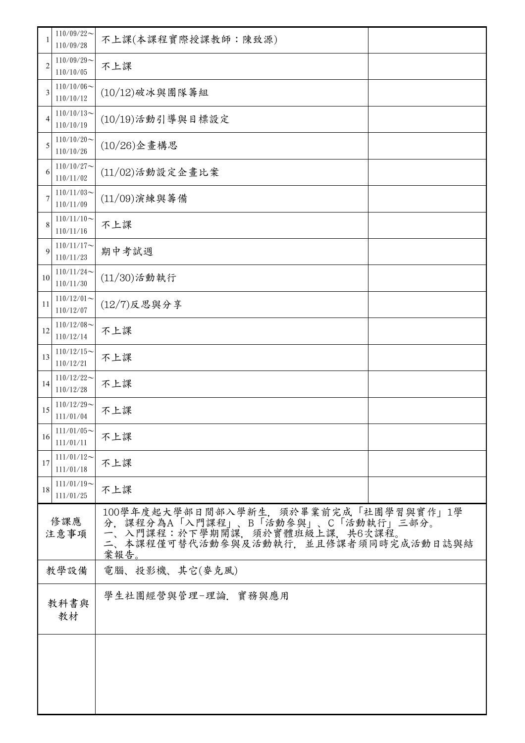|                | $110/09/22$ ~<br>110/09/28    | 不上課(本課程實際授課教師:陳致源)                                                                                                                                    |  |  |
|----------------|-------------------------------|-------------------------------------------------------------------------------------------------------------------------------------------------------|--|--|
| $\overline{2}$ | $110/09/29$ ~<br>110/10/05    | 不上課                                                                                                                                                   |  |  |
| 3              | $110/10/06 \sim$<br>110/10/12 | $(10/12)$ 破冰與團隊籌組                                                                                                                                     |  |  |
| $\overline{4}$ | $110/10/13$ ~<br>110/10/19    | (10/19)活動引導與目標設定                                                                                                                                      |  |  |
| 5              | $110/10/20$ ~<br>110/10/26    | (10/26)企畫構思                                                                                                                                           |  |  |
| 6              | $110/10/27$ ~<br>110/11/02    | (11/02)活動設定企畫比案                                                                                                                                       |  |  |
| 7              | $110/11/03$ ~<br>110/11/09    | $(11/09)$ 演練與籌備                                                                                                                                       |  |  |
| 8              | $110/11/10$ ~<br>110/11/16    | 不上課                                                                                                                                                   |  |  |
| 9              | $110/11/17$ ~<br>110/11/23    | 期中考試週                                                                                                                                                 |  |  |
| 10             | $110/11/24$ ~<br>110/11/30    | $(11/30)$ 活動執行                                                                                                                                        |  |  |
| 11             | $110/12/01$ ~<br>110/12/07    | $(12/7)$ 反思與分享                                                                                                                                        |  |  |
| 12             | $110/12/08$ ~<br>110/12/14    | 不上課                                                                                                                                                   |  |  |
| 13             | $110/12/15$ ~<br>110/12/21    | 不上課                                                                                                                                                   |  |  |
| 14             | $110/12/22$ ~<br>110/12/28    | 不上課                                                                                                                                                   |  |  |
| 15             | $110/12/29$ ~<br>111/01/04    | 不上課                                                                                                                                                   |  |  |
| 16             | $111/01/05$ ~<br>111/01/11    | 不上課                                                                                                                                                   |  |  |
| 17             | $111/01/12$ ~<br>111/01/18    | 不上課                                                                                                                                                   |  |  |
| 18             | $111/01/19$ ~<br>111/01/25    | 不上課                                                                                                                                                   |  |  |
| 修課應<br>注意事項    |                               | 100學年度起大學部日間部入學新生,須於畢業前完成「社團學習與實作」1學分,課程分為A「入門課程」、B「活動參與」、C「活動執行」三部分。<br>一、入門課程:於下學期開課,須於實體班級上課,共6次課程。<br>二、本課程僅可替代活動參與及活動執行,並且修課者須同時完成活動日誌與結<br>案報告。 |  |  |
| 教學設備           |                               | 電腦、投影機、其它(麥克風)                                                                                                                                        |  |  |
| 教科書與<br>教材     |                               | 學生社團經營與管理-理論. 實務與應用                                                                                                                                   |  |  |
|                |                               |                                                                                                                                                       |  |  |